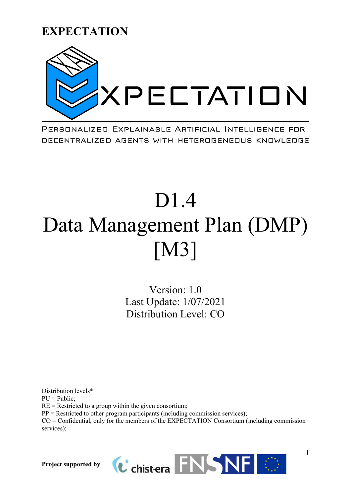

PERSONALIZED EXPLAINABLE ARTIFICIAL INTELLIGENCE FOR DECENTRALIZED AGENTS WITH HETEROGENEOUS KNOWLEDGE

# D1.4 Data Management Plan (DMP) [M3]

Version: 1.0 Last Update: 1/07/2021 Distribution Level: CO

Distribution levels\*  $PU = Public;$  $RE =$  Restricted to a group within the given consortium;  $PP =$  Restricted to other program participants (including commission services); CO = Confidential, only for the members of the EXPECTATION Consortium (including commission services);

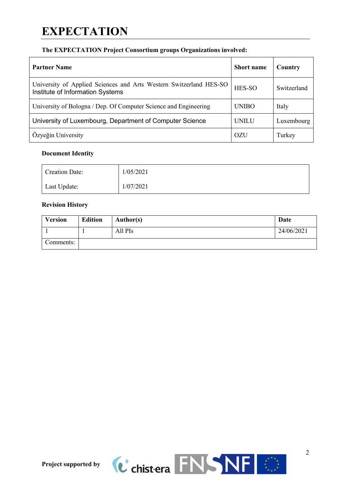# **EXPECTATION**

# **The EXPECTATION Project Consortium groups Organizations involved:**

| <b>Partner Name</b>                                                                                    | <b>Short</b> name | Country     |
|--------------------------------------------------------------------------------------------------------|-------------------|-------------|
| University of Applied Sciences and Arts Western Switzerland HES-SO<br>Institute of Information Systems | HES-SO            | Switzerland |
| University of Bologna / Dep. Of Computer Science and Engineering                                       | <b>UNIBO</b>      | Italy       |
| University of Luxembourg, Department of Computer Science                                               | <b>UNILU</b>      | Luxembourg  |
| Özyeğin University                                                                                     | OZU               | Turkey      |

# **Document Identity**

| <b>Creation Date:</b> | 1/05/2021 |
|-----------------------|-----------|
| Last Update:          | 1/07/2021 |

# **Revision History**

| <b>Version</b> | <b>Edition</b> | Author(s) | Date       |
|----------------|----------------|-----------|------------|
|                |                | All PIs   | 24/06/2021 |
| Comments:      |                |           |            |

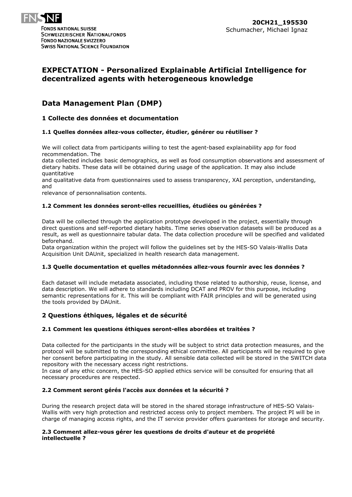

# **EXPECTATION - Personalized Explainable Artificial Intelligence for decentralized agents with heterogeneous knowledge**

# **Data Management Plan (DMP)**

## **1 Collecte des données et documentation**

#### **1.1 Quelles données allez-vous collecter, étudier, générer ou réutiliser ?**

We will collect data from participants willing to test the agent-based explainability app for food recommendation. The

data collected includes basic demographics, as well as food consumption observations and assessment of dietary habits. These data will be obtained during usage of the application. It may also include quantitative

and qualitative data from questionnaires used to assess transparency, XAI perception, understanding, and

relevance of personnalisation contents.

#### **1.2 Comment les données seront-elles recueillies, étudiées ou générées ?**

Data will be collected through the application prototype developed in the project, essentially through direct questions and self-reported dietary habits. Time series observation datasets will be produced as a result, as well as questionnaire tabular data. The data collection procedure will be specified and validated beforehand.

Data organization within the project will follow the guidelines set by the HES-SO Valais-Wallis Data Acquisition Unit DAUnit, specialized in health research data management.

#### **1.3 Quelle documentation et quelles métadonnées allez-vous fournir avec les données ?**

Each dataset will include metadata associated, including those related to authorship, reuse, license, and data description. We will adhere to standards including DCAT and PROV for this purpose, including semantic representations for it. This will be compliant with FAIR principles and will be generated using the tools provided by DAUnit.

#### **2 Questions éthiques, légales et de sécurité**

#### **2.1 Comment les questions éthiques seront-elles abordées et traitées ?**

Data collected for the participants in the study will be subject to strict data protection measures, and the protocol will be submitted to the corresponding ethical committee. All participants will be required to give her consent before participating in the study. All sensible data collected will be stored in the SWITCH data repository with the necessary access right restrictions.

In case of any ethic concern, the HES-SO applied ethics service will be consulted for ensuring that all necessary procedures are respected.

#### **2.2 Comment seront gérés l'accès aux données et la sécurité ?**

During the research project data will be stored in the shared storage infrastructure of HES-SO Valais-Wallis with very high protection and restricted access only to project members. The project PI will be in charge of managing access rights, and the IT service provider offers guarantees for storage and security.

#### **2.3 Comment allez-vous gérer les questions de droits d'auteur et de propriété intellectuelle ?**